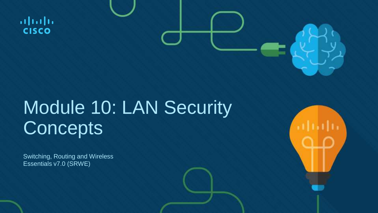$\frac{1}{2}$ **CISCO** 

### Module 10: LAN Security **Concepts**

Switching, Routing and Wireless Essentials v7.0 (SRWE)

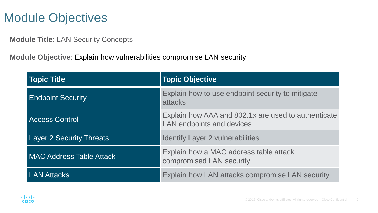#### Module Objectives

**Module Title:** LAN Security Concepts

**Module Objective**: Explain how vulnerabilities compromise LAN security

| <b>Topic Title</b>              | <b>Topic Objective</b>                                                           |
|---------------------------------|----------------------------------------------------------------------------------|
| <b>Endpoint Security</b>        | Explain how to use endpoint security to mitigate<br>attacks                      |
| <b>Access Control</b>           | Explain how AAA and 802.1x are used to authenticate<br>LAN endpoints and devices |
| <b>Layer 2 Security Threats</b> | <b>Identify Layer 2 vulnerabilities</b>                                          |
| <b>MAC Address Table Attack</b> | Explain how a MAC address table attack<br>compromised LAN security               |
| <b>LAN Attacks</b>              | Explain how LAN attacks compromise LAN security                                  |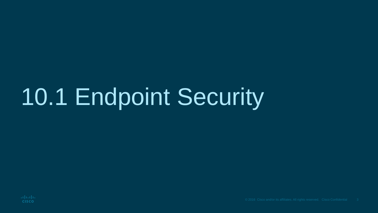### 10.1 Endpoint Security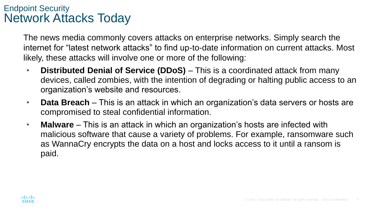#### Endpoint Security Network Attacks Today

The news media commonly covers attacks on enterprise networks. Simply search the internet for "latest network attacks" to find up-to-date information on current attacks. Most likely, these attacks will involve one or more of the following:

- **Distributed Denial of Service (DDoS)** This is a coordinated attack from many devices, called zombies, with the intention of degrading or halting public access to an organization's website and resources.
- **Data Breach** This is an attack in which an organization's data servers or hosts are compromised to steal confidential information.
- **Malware** This is an attack in which an organization's hosts are infected with malicious software that cause a variety of problems. For example, ransomware such as WannaCry encrypts the data on a host and locks access to it until a ransom is paid.

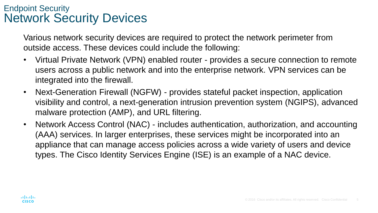#### Endpoint Security Network Security Devices

Various network security devices are required to protect the network perimeter from outside access. These devices could include the following:

- Virtual Private Network (VPN) enabled router provides a secure connection to remote users across a public network and into the enterprise network. VPN services can be integrated into the firewall.
- Next-Generation Firewall (NGFW) provides stateful packet inspection, application visibility and control, a next-generation intrusion prevention system (NGIPS), advanced malware protection (AMP), and URL filtering.
- Network Access Control (NAC) includes authentication, authorization, and accounting (AAA) services. In larger enterprises, these services might be incorporated into an appliance that can manage access policies across a wide variety of users and device types. The Cisco Identity Services Engine (ISE) is an example of a NAC device.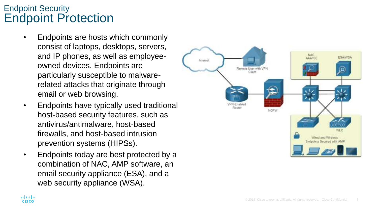#### Endpoint Security Endpoint Protection

- Endpoints are hosts which commonly consist of laptops, desktops, servers, and IP phones, as well as employeeowned devices. Endpoints are particularly susceptible to malwarerelated attacks that originate through email or web browsing.
- Endpoints have typically used traditional host-based security features, such as antivirus/antimalware, host-based firewalls, and host-based intrusion prevention systems (HIPSs).
- Endpoints today are best protected by a combination of NAC, AMP software, an email security appliance (ESA), and a web security appliance (WSA).

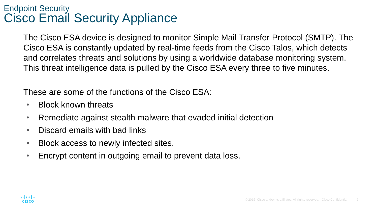#### Endpoint Security Cisco Email Security Appliance

The Cisco ESA device is designed to monitor Simple Mail Transfer Protocol (SMTP). The Cisco ESA is constantly updated by real-time feeds from the Cisco Talos, which detects and correlates threats and solutions by using a worldwide database monitoring system. This threat intelligence data is pulled by the Cisco ESA every three to five minutes.

These are some of the functions of the Cisco ESA:

- Block known threats
- Remediate against stealth malware that evaded initial detection
- Discard emails with bad links
- Block access to newly infected sites.
- Encrypt content in outgoing email to prevent data loss.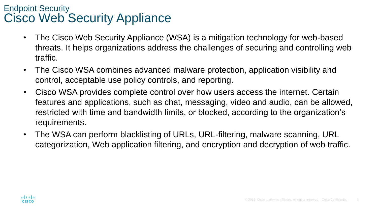#### Endpoint Security Cisco Web Security Appliance

- The Cisco Web Security Appliance (WSA) is a mitigation technology for web-based threats. It helps organizations address the challenges of securing and controlling web traffic.
- The Cisco WSA combines advanced malware protection, application visibility and control, acceptable use policy controls, and reporting.
- Cisco WSA provides complete control over how users access the internet. Certain features and applications, such as chat, messaging, video and audio, can be allowed, restricted with time and bandwidth limits, or blocked, according to the organization's requirements.
- The WSA can perform blacklisting of URLs, URL-filtering, malware scanning, URL categorization, Web application filtering, and encryption and decryption of web traffic.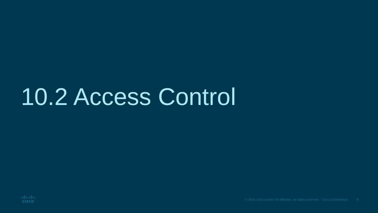### 10.2 Access Control

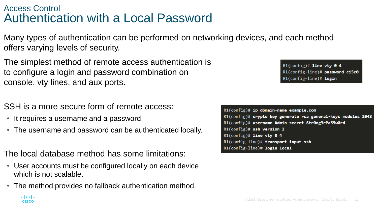#### Access Control Authentication with a Local Password

Many types of authentication can be performed on networking devices, and each method offers varying levels of security.

The simplest method of remote access authentication is to configure a login and password combination on console, vty lines, and aux ports.

SSH is a more secure form of remote access:

• It requires a username and a password.

aludu. **CISCO** 

• The username and password can be authenticated locally.

The local database method has some limitations:

- User accounts must be configured locally on each device which is not scalable.
- The method provides no fallback authentication method.

R1(config)# ip domain-name example.com R1(config)# crypto key generate rsa general-keys modulus 2048 R1(config)# username Admin secret Str0ng3rPa55w0rd  $R1$ (config)# ssh version 2  $R1$ (config)# line vty 0 4 R1(config-line)# transport input ssh R1(config-line)# login local

 $R1$ (config)# line vty 0 4 R1(config-line)# password ci5c0 R1(config-line)# login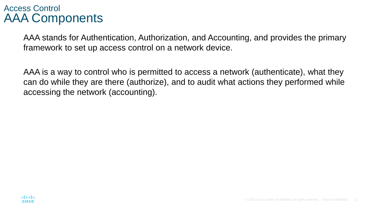#### Access Control AAA Components

AAA stands for Authentication, Authorization, and Accounting, and provides the primary framework to set up access control on a network device.

AAA is a way to control who is permitted to access a network (authenticate), what they can do while they are there (authorize), and to audit what actions they performed while accessing the network (accounting).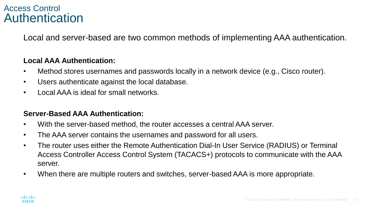#### Access Control Authentication

Local and server-based are two common methods of implementing AAA authentication.

#### **Local AAA Authentication:**

- Method stores usernames and passwords locally in a network device (e.g., Cisco router).
- Users authenticate against the local database.
- Local AAA is ideal for small networks.

#### **Server-Based AAA Authentication:**

- With the server-based method, the router accesses a central AAA server.
- The AAA server contains the usernames and password for all users.
- The router uses either the Remote Authentication Dial-In User Service (RADIUS) or Terminal Access Controller Access Control System (TACACS+) protocols to communicate with the AAA server.
- When there are multiple routers and switches, server-based AAA is more appropriate.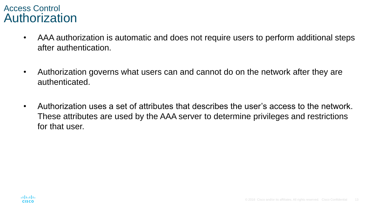#### Access Control Authorization

- AAA authorization is automatic and does not require users to perform additional steps after authentication.
- Authorization governs what users can and cannot do on the network after they are authenticated.
- Authorization uses a set of attributes that describes the user's access to the network. These attributes are used by the AAA server to determine privileges and restrictions for that user.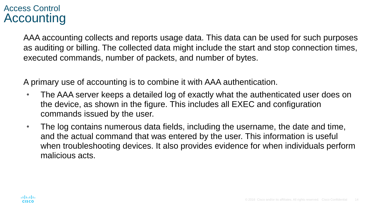#### Access Control Accounting

AAA accounting collects and reports usage data. This data can be used for such purposes as auditing or billing. The collected data might include the start and stop connection times, executed commands, number of packets, and number of bytes.

A primary use of accounting is to combine it with AAA authentication.

- The AAA server keeps a detailed log of exactly what the authenticated user does on the device, as shown in the figure. This includes all EXEC and configuration commands issued by the user.
- The log contains numerous data fields, including the username, the date and time, and the actual command that was entered by the user. This information is useful when troubleshooting devices. It also provides evidence for when individuals perform malicious acts.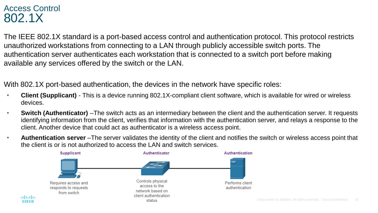#### Access Control 802.1X

aliaha

**CISCO** 

The IEEE 802.1X standard is a port-based access control and authentication protocol. This protocol restricts unauthorized workstations from connecting to a LAN through publicly accessible switch ports. The authentication server authenticates each workstation that is connected to a switch port before making available any services offered by the switch or the LAN.

With 802.1X port-based authentication, the devices in the network have specific roles:

- **Client (Supplicant)** This is a device running 802.1X-compliant client software, which is available for wired or wireless devices.
- **Switch (Authenticator)** –The switch acts as an intermediary between the client and the authentication server. It requests identifying information from the client, verifies that information with the authentication server, and relays a response to the client. Another device that could act as authenticator is a wireless access point.
- **Authentication server** –The server validates the identity of the client and notifies the switch or wireless access point that the client is or is not authorized to access the LAN and switch services.

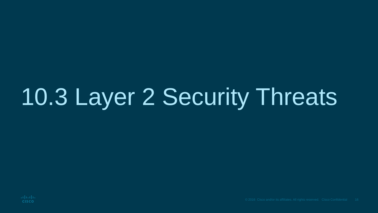## 10.3 Layer 2 Security Threats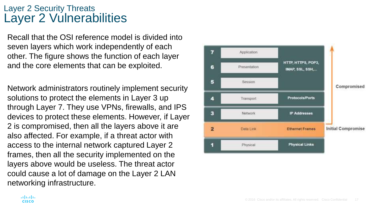#### Layer 2 Security Threats Layer 2 Vulnerabilities

Recall that the OSI reference model is divided into seven layers which work independently of each other. The figure shows the function of each layer and the core elements that can be exploited.

Network administrators routinely implement security solutions to protect the elements in Layer 3 up through Layer 7. They use VPNs, firewalls, and IPS devices to protect these elements. However, if Layer 2 is compromised, then all the layers above it are also affected. For example, if a threat actor with access to the internal network captured Layer 2 frames, then all the security implemented on the layers above would be useless. The threat actor could cause a lot of damage on the Layer 2 LAN networking infrastructure.

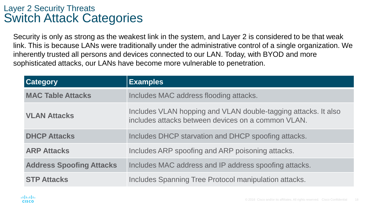#### Layer 2 Security Threats Switch Attack Categories

Security is only as strong as the weakest link in the system, and Layer 2 is considered to be that weak link. This is because LANs were traditionally under the administrative control of a single organization. We inherently trusted all persons and devices connected to our LAN. Today, with BYOD and more sophisticated attacks, our LANs have become more vulnerable to penetration.

| <b>Category</b>                 | <b>Examples</b>                                                                                                      |
|---------------------------------|----------------------------------------------------------------------------------------------------------------------|
| <b>MAC Table Attacks</b>        | Includes MAC address flooding attacks.                                                                               |
| <b>VLAN Attacks</b>             | Includes VLAN hopping and VLAN double-tagging attacks. It also<br>includes attacks between devices on a common VLAN. |
| <b>DHCP Attacks</b>             | Includes DHCP starvation and DHCP spoofing attacks.                                                                  |
| <b>ARP Attacks</b>              | Includes ARP spoofing and ARP poisoning attacks.                                                                     |
| <b>Address Spoofing Attacks</b> | Includes MAC address and IP address spoofing attacks.                                                                |
| <b>STP Attacks</b>              | Includes Spanning Tree Protocol manipulation attacks.                                                                |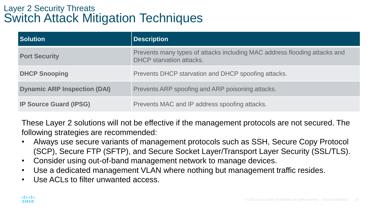#### Layer 2 Security Threats Switch Attack Mitigation Techniques

| <b>Solution</b>                     | <b>Description</b>                                                                                    |
|-------------------------------------|-------------------------------------------------------------------------------------------------------|
| <b>Port Security</b>                | Prevents many types of attacks including MAC address flooding attacks and<br>DHCP starvation attacks. |
| <b>DHCP Snooping</b>                | Prevents DHCP starvation and DHCP spoofing attacks.                                                   |
| <b>Dynamic ARP Inspection (DAI)</b> | Prevents ARP spoofing and ARP poisoning attacks.                                                      |
| <b>IP Source Guard (IPSG)</b>       | Prevents MAC and IP address spoofing attacks.                                                         |

These Layer 2 solutions will not be effective if the management protocols are not secured. The following strategies are recommended:

- Always use secure variants of management protocols such as SSH, Secure Copy Protocol (SCP), Secure FTP (SFTP), and Secure Socket Layer/Transport Layer Security (SSL/TLS).
- Consider using out-of-band management network to manage devices.
- Use a dedicated management VLAN where nothing but management traffic resides.
- Use ACLs to filter unwanted access.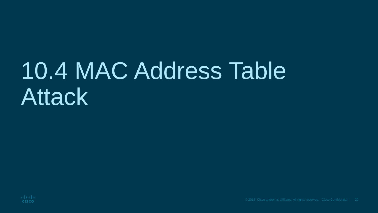### 10.4 MAC Address Table Attack

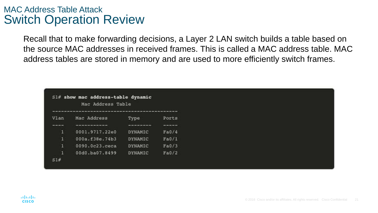#### MAC Address Table Attack Switch Operation Review

Recall that to make forwarding decisions, a Layer 2 LAN switch builds a table based on the source MAC addresses in received frames. This is called a MAC address table. MAC address tables are stored in memory and are used to more efficiently switch frames.

| $$1#$ show mac address-table dynamic<br>Mac Address Table<br>we do not set the del win and win the fact that you can be the the term one day there are not well will be then we will see their set out them and we have the term of the term of the |                                                       |                |         |  |
|-----------------------------------------------------------------------------------------------------------------------------------------------------------------------------------------------------------------------------------------------------|-------------------------------------------------------|----------------|---------|--|
| Vlan                                                                                                                                                                                                                                                | Mac Address                                           | Type           | Ports   |  |
| ----                                                                                                                                                                                                                                                | two your your party your two fund your your pain com- | ----------     | ------- |  |
| ū                                                                                                                                                                                                                                                   | 0001.9717.22e0                                        | DYNAMIC        | Fa0/4   |  |
| п                                                                                                                                                                                                                                                   | 000a.f38e.74b3                                        | <b>DYNAMIC</b> | Fa0/1   |  |
| 1                                                                                                                                                                                                                                                   | 0090.0c23.ceca                                        | <b>DYNAMIC</b> | Fa0/3   |  |
| 1                                                                                                                                                                                                                                                   | 00d0.ba07.8499                                        | <b>DYNAMIC</b> | Fa0/2   |  |
| S1#                                                                                                                                                                                                                                                 |                                                       |                |         |  |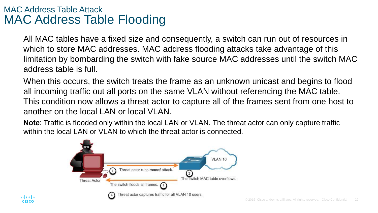#### MAC Address Table Attack MAC Address Table Flooding

All MAC tables have a fixed size and consequently, a switch can run out of resources in which to store MAC addresses. MAC address flooding attacks take advantage of this limitation by bombarding the switch with fake source MAC addresses until the switch MAC address table is full.

When this occurs, the switch treats the frame as an unknown unicast and begins to flood all incoming traffic out all ports on the same VLAN without referencing the MAC table. This condition now allows a threat actor to capture all of the frames sent from one host to another on the local LAN or local VLAN.

**Note**: Traffic is flooded only within the local LAN or VLAN. The threat actor can only capture traffic within the local LAN or VLAN to which the threat actor is connected.

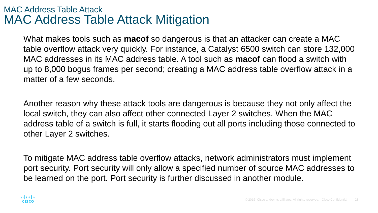#### MAC Address Table Attack MAC Address Table Attack Mitigation

What makes tools such as **macof** so dangerous is that an attacker can create a MAC table overflow attack very quickly. For instance, a Catalyst 6500 switch can store 132,000 MAC addresses in its MAC address table. A tool such as **macof** can flood a switch with up to 8,000 bogus frames per second; creating a MAC address table overflow attack in a matter of a few seconds.

Another reason why these attack tools are dangerous is because they not only affect the local switch, they can also affect other connected Layer 2 switches. When the MAC address table of a switch is full, it starts flooding out all ports including those connected to other Layer 2 switches.

To mitigate MAC address table overflow attacks, network administrators must implement port security. Port security will only allow a specified number of source MAC addresses to be learned on the port. Port security is further discussed in another module.

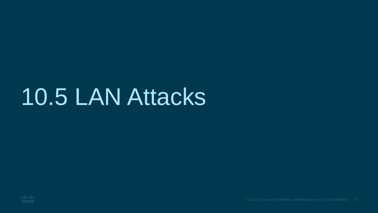### 10.5 LAN Attacks

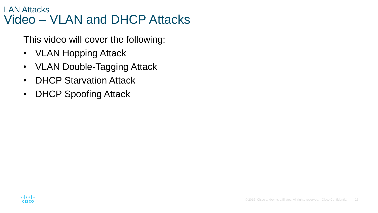#### LAN Attacks Video – VLAN and DHCP Attacks

This video will cover the following:

- **VLAN Hopping Attack**
- VLAN Double-Tagging Attack
- DHCP Starvation Attack
- DHCP Spoofing Attack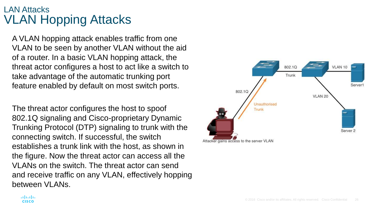#### LAN Attacks VLAN Hopping Attacks

A VLAN hopping attack enables traffic from one VLAN to be seen by another VLAN without the aid of a router. In a basic VLAN hopping attack, the threat actor configures a host to act like a switch to take advantage of the automatic trunking port feature enabled by default on most switch ports.

The threat actor configures the host to spoof 802.1Q signaling and Cisco-proprietary Dynamic Trunking Protocol (DTP) signaling to trunk with the connecting switch. If successful, the switch establishes a trunk link with the host, as shown in the figure. Now the threat actor can access all the VLANs on the switch. The threat actor can send and receive traffic on any VLAN, effectively hopping between VLANs.

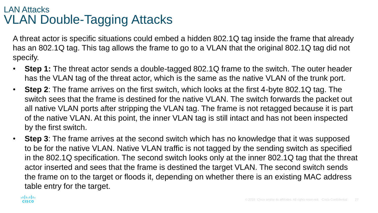#### LAN Attacks VLAN Double-Tagging Attacks

A threat actor is specific situations could embed a hidden 802.1Q tag inside the frame that already has an 802.1Q tag. This tag allows the frame to go to a VLAN that the original 802.1Q tag did not specify.

- **Step 1:** The threat actor sends a double-tagged 802.1Q frame to the switch. The outer header has the VLAN tag of the threat actor, which is the same as the native VLAN of the trunk port.
- **Step 2**: The frame arrives on the first switch, which looks at the first 4-byte 802.1Q tag. The switch sees that the frame is destined for the native VLAN. The switch forwards the packet out all native VLAN ports after stripping the VLAN tag. The frame is not retagged because it is part of the native VLAN. At this point, the inner VLAN tag is still intact and has not been inspected by the first switch.
- **Step 3**: The frame arrives at the second switch which has no knowledge that it was supposed to be for the native VLAN. Native VLAN traffic is not tagged by the sending switch as specified in the 802.1Q specification. The second switch looks only at the inner 802.1Q tag that the threat actor inserted and sees that the frame is destined the target VLAN. The second switch sends the frame on to the target or floods it, depending on whether there is an existing MAC address table entry for the target.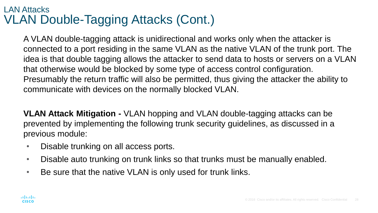#### LAN Attacks VLAN Double-Tagging Attacks (Cont.)

A VLAN double-tagging attack is unidirectional and works only when the attacker is connected to a port residing in the same VLAN as the native VLAN of the trunk port. The idea is that double tagging allows the attacker to send data to hosts or servers on a VLAN that otherwise would be blocked by some type of access control configuration. Presumably the return traffic will also be permitted, thus giving the attacker the ability to communicate with devices on the normally blocked VLAN.

**VLAN Attack Mitigation -** VLAN hopping and VLAN double-tagging attacks can be prevented by implementing the following trunk security guidelines, as discussed in a previous module:

- Disable trunking on all access ports.
- Disable auto trunking on trunk links so that trunks must be manually enabled.
- Be sure that the native VLAN is only used for trunk links.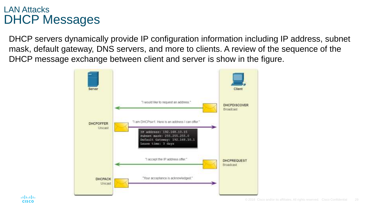#### LAN Attacks DHCP Messages

DHCP servers dynamically provide IP configuration information including IP address, subnet mask, default gateway, DNS servers, and more to clients. A review of the sequence of the DHCP message exchange between client and server is show in the figure.

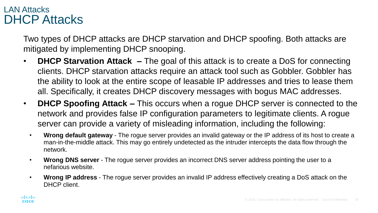#### LAN Attacks DHCP Attacks

Two types of DHCP attacks are DHCP starvation and DHCP spoofing. Both attacks are mitigated by implementing DHCP snooping.

- **DHCP Starvation Attack** The goal of this attack is to create a DoS for connecting clients. DHCP starvation attacks require an attack tool such as Gobbler. Gobbler has the ability to look at the entire scope of leasable IP addresses and tries to lease them all. Specifically, it creates DHCP discovery messages with bogus MAC addresses.
- **DHCP Spoofing Attack –** This occurs when a rogue DHCP server is connected to the network and provides false IP configuration parameters to legitimate clients. A rogue server can provide a variety of misleading information, including the following:
	- **Wrong default gateway** The rogue server provides an invalid gateway or the IP address of its host to create a man-in-the-middle attack. This may go entirely undetected as the intruder intercepts the data flow through the network.
	- **Wrong DNS server** The rogue server provides an incorrect DNS server address pointing the user to a nefarious website.
	- **Wrong IP address** The rogue server provides an invalid IP address effectively creating a DoS attack on the DHCP client.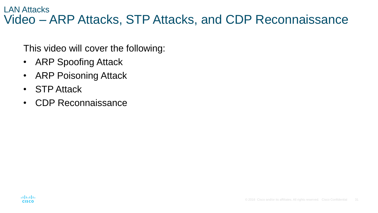#### LAN Attacks Video – ARP Attacks, STP Attacks, and CDP Reconnaissance

This video will cover the following:

- ARP Spoofing Attack
- ARP Poisoning Attack
- STP Attack
- CDP Reconnaissance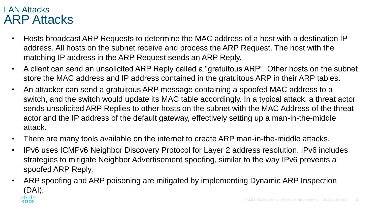#### LAN Attacks ARP Attacks

- Hosts broadcast ARP Requests to determine the MAC address of a host with a destination IP address. All hosts on the subnet receive and process the ARP Request. The host with the matching IP address in the ARP Request sends an ARP Reply.
- A client can send an unsolicited ARP Reply called a "gratuitous ARP". Other hosts on the subnet store the MAC address and IP address contained in the gratuitous ARP in their ARP tables.
- An attacker can send a gratuitous ARP message containing a spoofed MAC address to a switch, and the switch would update its MAC table accordingly. In a typical attack, a threat actor sends unsolicited ARP Replies to other hosts on the subnet with the MAC Address of the threat actor and the IP address of the default gateway, effectively setting up a man-in-the-middle attack.
- There are many tools available on the internet to create ARP man-in-the-middle attacks.
- IPv6 uses ICMPv6 Neighbor Discovery Protocol for Layer 2 address resolution. IPv6 includes strategies to mitigate Neighbor Advertisement spoofing, similar to the way IPv6 prevents a spoofed ARP Reply.
- ARP spoofing and ARP poisoning are mitigated by implementing Dynamic ARP Inspection (DAI).almlu **CISCO**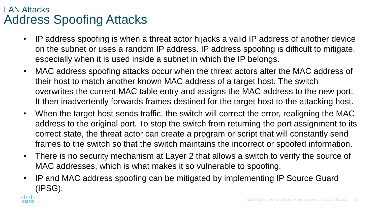#### LAN Attacks Address Spoofing Attacks

- IP address spoofing is when a threat actor hijacks a valid IP address of another device on the subnet or uses a random IP address. IP address spoofing is difficult to mitigate, especially when it is used inside a subnet in which the IP belongs.
- MAC address spoofing attacks occur when the threat actors alter the MAC address of their host to match another known MAC address of a target host. The switch overwrites the current MAC table entry and assigns the MAC address to the new port. It then inadvertently forwards frames destined for the target host to the attacking host.
- When the target host sends traffic, the switch will correct the error, realigning the MAC address to the original port. To stop the switch from returning the port assignment to its correct state, the threat actor can create a program or script that will constantly send frames to the switch so that the switch maintains the incorrect or spoofed information.
- There is no security mechanism at Layer 2 that allows a switch to verify the source of MAC addresses, which is what makes it so vulnerable to spoofing.
- IP and MAC address spoofing can be mitigated by implementing IP Source Guard (IPSG).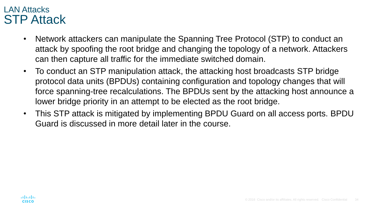#### LAN Attacks STP Attack

- Network attackers can manipulate the Spanning Tree Protocol (STP) to conduct an attack by spoofing the root bridge and changing the topology of a network. Attackers can then capture all traffic for the immediate switched domain.
- To conduct an STP manipulation attack, the attacking host broadcasts STP bridge protocol data units (BPDUs) containing configuration and topology changes that will force spanning-tree recalculations. The BPDUs sent by the attacking host announce a lower bridge priority in an attempt to be elected as the root bridge.
- This STP attack is mitigated by implementing BPDU Guard on all access ports. BPDU Guard is discussed in more detail later in the course.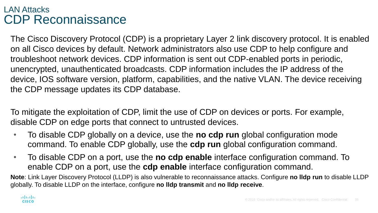#### LAN Attacks CDP Reconnaissance

The Cisco Discovery Protocol (CDP) is a proprietary Layer 2 link discovery protocol. It is enabled on all Cisco devices by default. Network administrators also use CDP to help configure and troubleshoot network devices. CDP information is sent out CDP-enabled ports in periodic, unencrypted, unauthenticated broadcasts. CDP information includes the IP address of the device, IOS software version, platform, capabilities, and the native VLAN. The device receiving the CDP message updates its CDP database.

To mitigate the exploitation of CDP, limit the use of CDP on devices or ports. For example, disable CDP on edge ports that connect to untrusted devices.

- To disable CDP globally on a device, use the **no cdp run** global configuration mode command. To enable CDP globally, use the **cdp run** global configuration command.
- To disable CDP on a port, use the **no cdp enable** interface configuration command. To enable CDP on a port, use the **cdp enable** interface configuration command.

**Note**: Link Layer Discovery Protocol (LLDP) is also vulnerable to reconnaissance attacks. Configure **no lldp run** to disable LLDP globally. To disable LLDP on the interface, configure **no lldp transmit** and **no lldp receive**.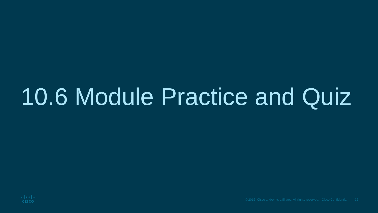### 10.6 Module Practice and Quiz

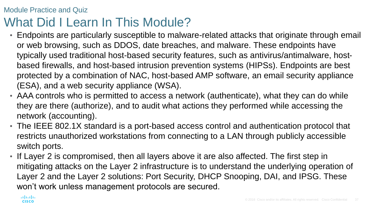#### Module Practice and Quiz What Did I Learn In This Module?

- Endpoints are particularly susceptible to malware-related attacks that originate through email or web browsing, such as DDOS, date breaches, and malware. These endpoints have typically used traditional host-based security features, such as antivirus/antimalware, hostbased firewalls, and host-based intrusion prevention systems (HIPSs). Endpoints are best protected by a combination of NAC, host-based AMP software, an email security appliance (ESA), and a web security appliance (WSA).
- AAA controls who is permitted to access a network (authenticate), what they can do while they are there (authorize), and to audit what actions they performed while accessing the network (accounting).
- The IEEE 802.1X standard is a port-based access control and authentication protocol that restricts unauthorized workstations from connecting to a LAN through publicly accessible switch ports.
- If Layer 2 is compromised, then all layers above it are also affected. The first step in mitigating attacks on the Layer 2 infrastructure is to understand the underlying operation of Layer 2 and the Layer 2 solutions: Port Security, DHCP Snooping, DAI, and IPSG. These won't work unless management protocols are secured.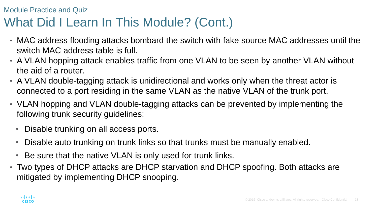#### Module Practice and Quiz What Did I Learn In This Module? (Cont.)

- MAC address flooding attacks bombard the switch with fake source MAC addresses until the switch MAC address table is full.
- A VLAN hopping attack enables traffic from one VLAN to be seen by another VLAN without the aid of a router.
- A VLAN double-tagging attack is unidirectional and works only when the threat actor is connected to a port residing in the same VLAN as the native VLAN of the trunk port.
- VLAN hopping and VLAN double-tagging attacks can be prevented by implementing the following trunk security guidelines:
	- Disable trunking on all access ports.
	- Disable auto trunking on trunk links so that trunks must be manually enabled.
	- Be sure that the native VLAN is only used for trunk links.
- Two types of DHCP attacks are DHCP starvation and DHCP spoofing. Both attacks are mitigated by implementing DHCP snooping.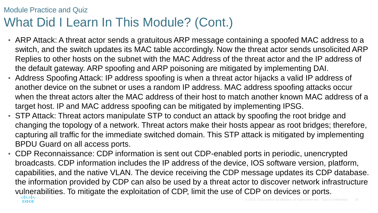#### Module Practice and Quiz What Did I Learn In This Module? (Cont.)

- ARP Attack: A threat actor sends a gratuitous ARP message containing a spoofed MAC address to a switch, and the switch updates its MAC table accordingly. Now the threat actor sends unsolicited ARP Replies to other hosts on the subnet with the MAC Address of the threat actor and the IP address of the default gateway. ARP spoofing and ARP poisoning are mitigated by implementing DAI.
- Address Spoofing Attack: IP address spoofing is when a threat actor hijacks a valid IP address of another device on the subnet or uses a random IP address. MAC address spoofing attacks occur when the threat actors alter the MAC address of their host to match another known MAC address of a target host. IP and MAC address spoofing can be mitigated by implementing IPSG.
- STP Attack: Threat actors manipulate STP to conduct an attack by spoofing the root bridge and changing the topology of a network. Threat actors make their hosts appear as root bridges; therefore, capturing all traffic for the immediate switched domain. This STP attack is mitigated by implementing BPDU Guard on all access ports.
- CDP Reconnaissance: CDP information is sent out CDP-enabled ports in periodic, unencrypted broadcasts. CDP information includes the IP address of the device, IOS software version, platform, capabilities, and the native VLAN. The device receiving the CDP message updates its CDP database. the information provided by CDP can also be used by a threat actor to discover network infrastructure vulnerabilities. To mitigate the exploitation of CDP, limit the use of CDP on devices or ports.**CISCO**